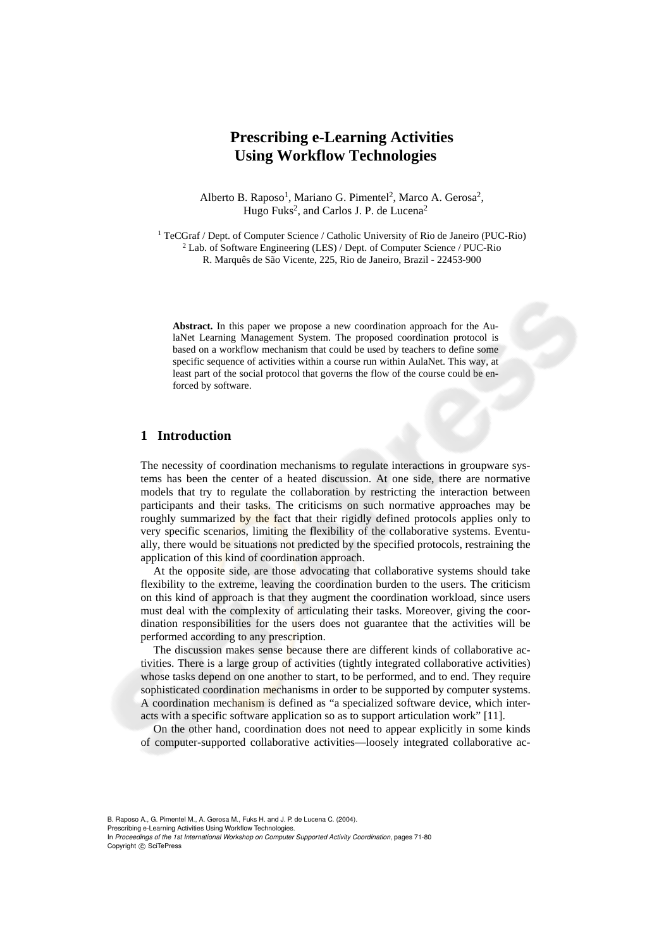# **Prescribing e-Learning Activities Using Workflow Technologies**

Alberto B. Raposo<sup>1</sup>, Mariano G. Pimentel<sup>2</sup>, Marco A. Gerosa<sup>2</sup>, Hugo Fuks<sup>2</sup>, and Carlos J. P. de Lucena<sup>2</sup>

1 TeCGraf / Dept. of Computer Science / Catholic University of Rio de Janeiro (PUC-Rio) 2 Lab. of Software Engineering (LES) / Dept. of Computer Science / PUC-Rio R. Marquês de São Vicente, 225, Rio de Janeiro, Brazil - 22453-900

**Abstract.** In this paper we propose a new coordination approach for the AulaNet Learning Management System. The proposed coordination protocol is based on a workflow mechanism that could be used by teachers to define some specific sequence of activities within a course run within AulaNet. This way, at least part of the social protocol that governs the flow of the course could be enforced by software.

## **1 Introduction**

The necessity of coordination mechanisms to regulate interactions in groupware systems has been the center of a heated discussion. At one side, there are normative models that try to regulate the collaboration by restricting the interaction between participants and their tasks. The criticisms on such normative approaches may be roughly summarized by the fact that their rigidly defined protocols applies only to very specific scenarios, limiting the flexibility of the collaborative systems. Eventually, there would be situations not predicted by the specified protocols, restraining the application of this kind of coordination approach.

At the opposite side, are those advocating that collaborative systems should take flexibility to the extreme, leaving the coordination burden to the users. The criticism on this kind of approach is that they augment the coordination workload, since users must deal with the complexity of articulating their tasks. Moreover, giving the coordination responsibilities for the users does not guarantee that the activities will be performed according to any prescription.

The discussion makes sense because there are different kinds of collaborative activities. There is a large group of activities (tightly integrated collaborative activities) whose tasks depend on one another to start, to be performed, and to end. They require sophisticated coordination mechanisms in order to be supported by computer systems. A coordination mechanism is defined as "a specialized software device, which interacts with a specific software application so as to support articulation work" [11].

On the other hand, coordination does not need to appear explicitly in some kinds of computer-supported collaborative activities—loosely integrated collaborative ac-

B. Raposo A., G. Pimentel M., A. Gerosa M., Fuks H. and J. P. de Lucena C. (2004).

Prescribing e-Learning Activities Using Workflow Technologies.

In *Proceedings of the 1st International Workshop on Computer Supported Activity Coordination*, pages 71-80 Copyright (C) SciTePress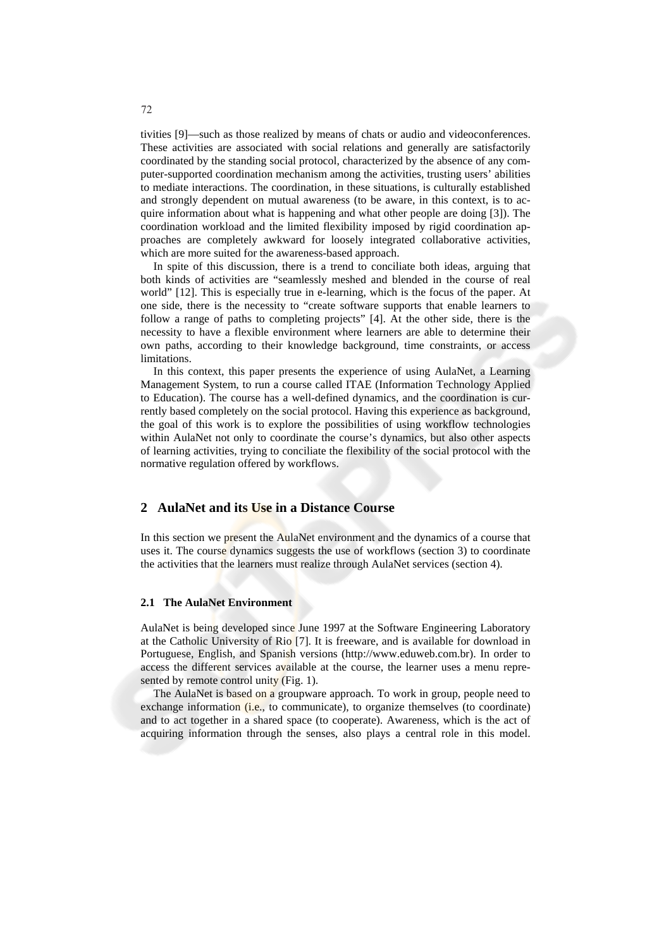tivities [9]—such as those realized by means of chats or audio and videoconferences. These activities are associated with social relations and generally are satisfactorily coordinated by the standing social protocol, characterized by the absence of any computer-supported coordination mechanism among the activities, trusting users' abilities to mediate interactions. The coordination, in these situations, is culturally established and strongly dependent on mutual awareness (to be aware, in this context, is to acquire information about what is happening and what other people are doing [3]). The coordination workload and the limited flexibility imposed by rigid coordination approaches are completely awkward for loosely integrated collaborative activities, which are more suited for the awareness-based approach.

In spite of this discussion, there is a trend to conciliate both ideas, arguing that both kinds of activities are "seamlessly meshed and blended in the course of real world" [12]. This is especially true in e-learning, which is the focus of the paper. At one side, there is the necessity to "create software supports that enable learners to follow a range of paths to completing projects" [4]. At the other side, there is the necessity to have a flexible environment where learners are able to determine their own paths, according to their knowledge background, time constraints, or access limitations.

In this context, this paper presents the experience of using AulaNet, a Learning Management System, to run a course called ITAE (Information Technology Applied to Education). The course has a well-defined dynamics, and the coordination is currently based completely on the social protocol. Having this experience as background, the goal of this work is to explore the possibilities of using workflow technologies within AulaNet not only to coordinate the course's dynamics, but also other aspects of learning activities, trying to conciliate the flexibility of the social protocol with the normative regulation offered by workflows.

### **2 AulaNet and its Use in a Distance Course**

In this section we present the AulaNet environment and the dynamics of a course that uses it. The course dynamics suggests the use of workflows (section 3) to coordinate the activities that the learners must realize through AulaNet services (section 4).

#### **2.1 The AulaNet Environment**

AulaNet is being developed since June 1997 at the Software Engineering Laboratory at the Catholic University of Rio [7]. It is freeware, and is available for download in Portuguese, English, and Spanish versions (http://www.eduweb.com.br). In order to access the different services available at the course, the learner uses a menu represented by remote control unity (Fig. 1).

The AulaNet is based on a groupware approach. To work in group, people need to exchange information (i.e., to communicate), to organize themselves (to coordinate) and to act together in a shared space (to cooperate). Awareness, which is the act of acquiring information through the senses, also plays a central role in this model.

72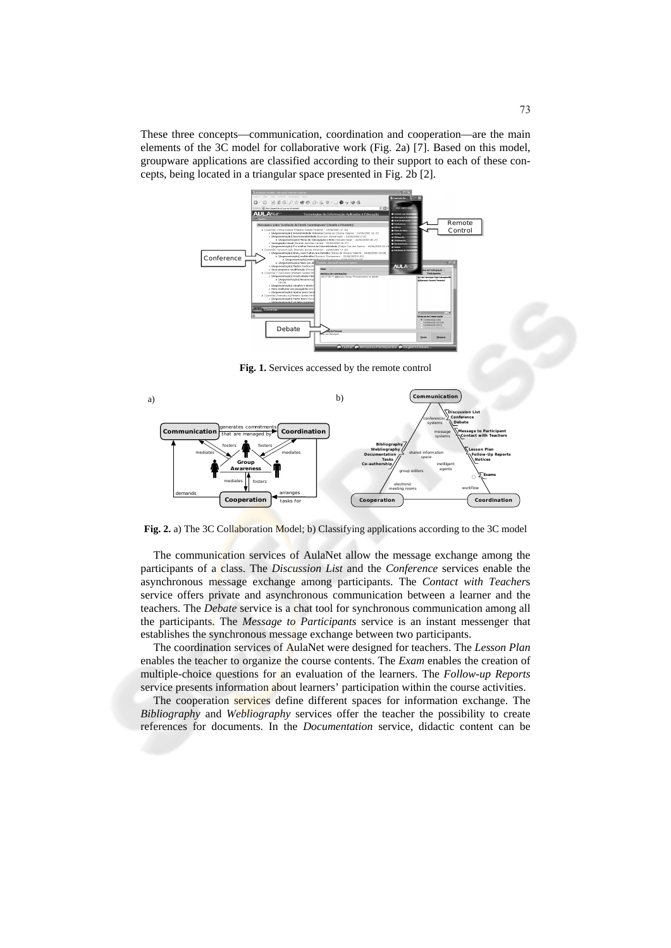These three concepts—communication, coordination and cooperation—are the main elements of the 3C model for collaborative work (Fig. 2a) [7]. Based on this model, groupware applications are classified according to their support to each of these concepts, being located in a triangular space presented in Fig. 2b [2].



**Fig. 1.** Services accessed by the remote control



**Fig. 2.** a) The 3C Collaboration Model; b) Classifying applications according to the 3C model

The communication services of AulaNet allow the message exchange among the participants of a class. The *Discussion List* and the *Conference* services enable the asynchronous message exchange among participants. The *Contact with Teacher*s service offers private and asynchronous communication between a learner and the teachers. The *Debate* service is a chat tool for synchronous communication among all the participants. The *Message to Participants* service is an instant messenger that establishes the synchronous message exchange between two participants.

The coordination services of AulaNet were designed for teachers. The *Lesson Plan* enables the teacher to organize the course contents. The *Exam* enables the creation of multiple-choice questions for an evaluation of the learners. The *Follow-up Reports* service presents information about learners' participation within the course activities.

The cooperation services define different spaces for information exchange. The *Bibliography* and *Webliography* services offer the teacher the possibility to create references for documents. In the *Documentation* service, didactic content can be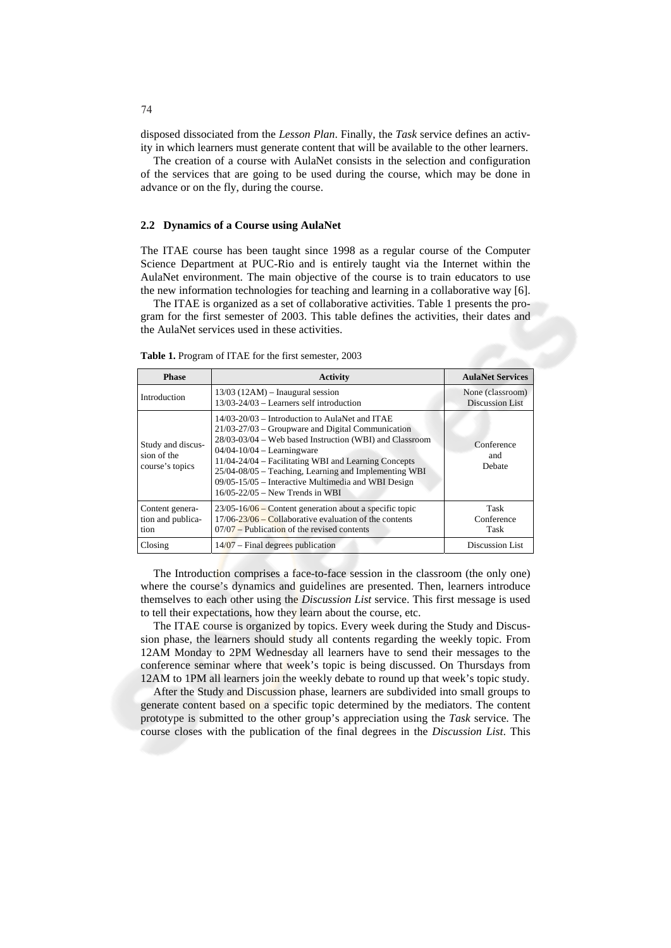disposed dissociated from the *Lesson Plan*. Finally, the *Task* service defines an activity in which learners must generate content that will be available to the other learners.

The creation of a course with AulaNet consists in the selection and configuration of the services that are going to be used during the course, which may be done in advance or on the fly, during the course.

#### **2.2 Dynamics of a Course using AulaNet**

The ITAE course has been taught since 1998 as a regular course of the Computer Science Department at PUC-Rio and is entirely taught via the Internet within the AulaNet environment. The main objective of the course is to train educators to use the new information technologies for teaching and learning in a collaborative way [6].

The ITAE is organized as a set of collaborative activities. Table 1 presents the program for the first semester of 2003. This table defines the activities, their dates and the AulaNet services used in these activities.

| <b>Phase</b>                                        | <b>Activity</b>                                                                                                                                                                                                                                                                                                                                                                                                     | <b>AulaNet Services</b>                    |
|-----------------------------------------------------|---------------------------------------------------------------------------------------------------------------------------------------------------------------------------------------------------------------------------------------------------------------------------------------------------------------------------------------------------------------------------------------------------------------------|--------------------------------------------|
| Introduction                                        | $13/03$ (12AM) – Inaugural session<br>$13/03 - 24/03$ – Learners self introduction                                                                                                                                                                                                                                                                                                                                  | None (classroom)<br><b>Discussion List</b> |
| Study and discus-<br>sion of the<br>course's topics | 14/03-20/03 – Introduction to AulaNet and ITAE<br>$21/03 - 27/03$ – Groupware and Digital Communication<br>28/03-03/04 – Web based Instruction (WBI) and Classroom<br>$04/04 - 10/04 - Learningware$<br>11/04-24/04 - Facilitating WBI and Learning Concepts<br>25/04-08/05 – Teaching, Learning and Implementing WBI<br>09/05-15/05 - Interactive Multimedia and WBI Design<br>$16/05 - 22/05$ – New Trends in WBI | Conference<br>and<br>Debate                |
| Content genera-<br>tion and publica-<br>tion        | $23/05-16/06$ – Content generation about a specific topic<br>$17/06 - 23/06$ – Collaborative evaluation of the contents<br>$07/07$ – Publication of the revised contents                                                                                                                                                                                                                                            | Task<br>Conference<br>Task                 |
| Closing                                             | $14/07$ – Final degrees publication                                                                                                                                                                                                                                                                                                                                                                                 | Discussion List                            |

**Table 1.** Program of ITAE for the first semester, 2003

The Introduction comprises a face-to-face session in the classroom (the only one) where the course's dynamics and guidelines are presented. Then, learners introduce themselves to each other using the *Discussion List* service. This first message is used to tell their expectations, how they learn about the course, etc.

The ITAE course is organized by topics. Every week during the Study and Discussion phase, the learners should study all contents regarding the weekly topic. From 12AM Monday to 2PM Wednesday all learners have to send their messages to the conference seminar where that week's topic is being discussed. On Thursdays from 12AM to 1PM all learners join the weekly debate to round up that week's topic study.

After the Study and Discussion phase, learners are subdivided into small groups to generate content based on a specific topic determined by the mediators. The content prototype is submitted to the other group's appreciation using the *Task* service. The course closes with the publication of the final degrees in the *Discussion List*. This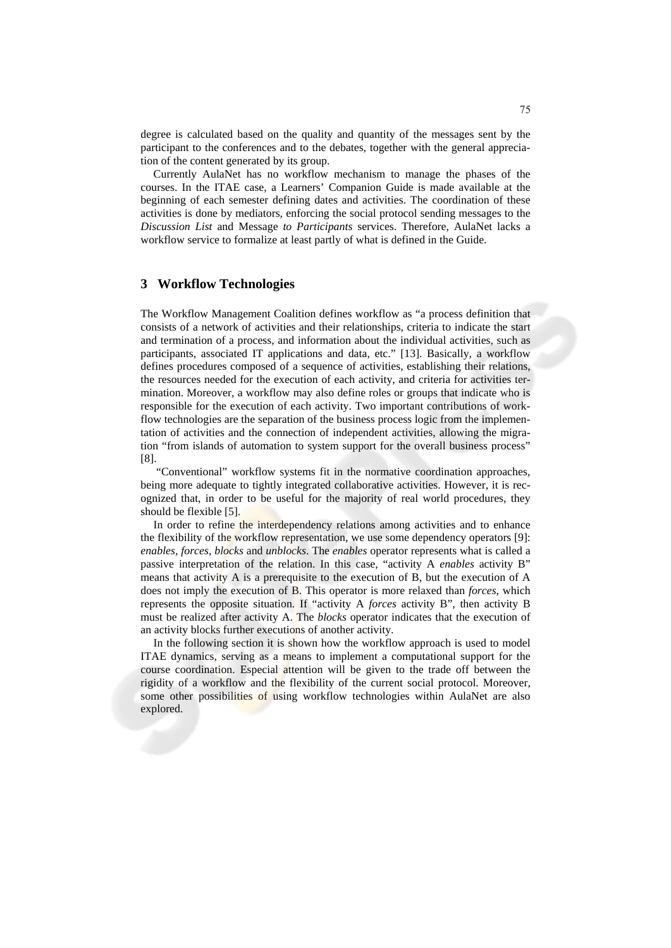degree is calculated based on the quality and quantity of the messages sent by the participant to the conferences and to the debates, together with the general appreciation of the content generated by its group.

Currently AulaNet has no workflow mechanism to manage the phases of the courses. In the ITAE case, a Learners' Companion Guide is made available at the beginning of each semester defining dates and activities. The coordination of these activities is done by mediators, enforcing the social protocol sending messages to the *Discussion List* and Message *to Participants* services. Therefore, AulaNet lacks a workflow service to formalize at least partly of what is defined in the Guide.

## **3 Workflow Technologies**

The Workflow Management Coalition defines workflow as "a process definition that consists of a network of activities and their relationships, criteria to indicate the start and termination of a process, and information about the individual activities, such as participants, associated IT applications and data, etc." [13]. Basically, a workflow defines procedures composed of a sequence of activities, establishing their relations, the resources needed for the execution of each activity, and criteria for activities termination. Moreover, a workflow may also define roles or groups that indicate who is responsible for the execution of each activity. Two important contributions of workflow technologies are the separation of the business process logic from the implementation of activities and the connection of independent activities, allowing the migration "from islands of automation to system support for the overall business process" [8].

 "Conventional" workflow systems fit in the normative coordination approaches, being more adequate to tightly integrated collaborative activities. However, it is recognized that, in order to be useful for the majority of real world procedures, they should be flexible [5].

In order to refine the interdependency relations among activities and to enhance the flexibility of the workflow representation, we use some dependency operators [9]: *enables*, *forces*, *blocks* and *unblocks*. The *enables* operator represents what is called a passive interpretation of the relation. In this case, "activity A *enables* activity B" means that activity A is a prerequisite to the execution of B, but the execution of A does not imply the execution of B. This operator is more relaxed than *forces*, which represents the opposite situation. If "activity A *forces* activity B", then activity B must be realized after activity A. The *blocks* operator indicates that the execution of an activity blocks further executions of another activity.

In the following section it is shown how the workflow approach is used to model ITAE dynamics, serving as a means to implement a computational support for the course coordination. Especial attention will be given to the trade off between the rigidity of a workflow and the flexibility of the current social protocol. Moreover, some other possibilities of using workflow technologies within AulaNet are also explored.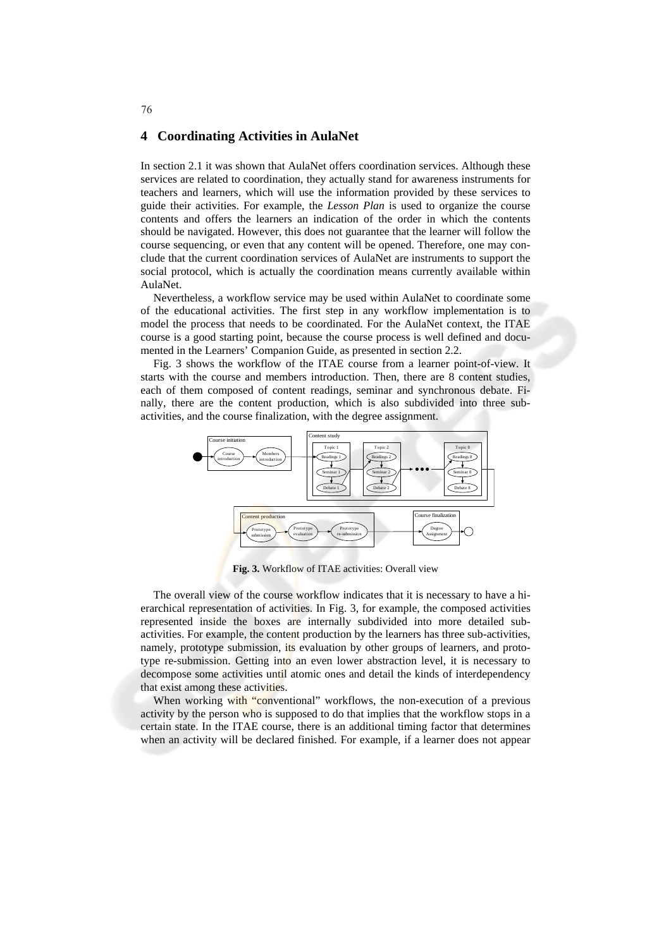## **4 Coordinating Activities in AulaNet**

In section 2.1 it was shown that AulaNet offers coordination services. Although these services are related to coordination, they actually stand for awareness instruments for teachers and learners, which will use the information provided by these services to guide their activities. For example, the *Lesson Plan* is used to organize the course contents and offers the learners an indication of the order in which the contents should be navigated. However, this does not guarantee that the learner will follow the course sequencing, or even that any content will be opened. Therefore, one may conclude that the current coordination services of AulaNet are instruments to support the social protocol, which is actually the coordination means currently available within AulaNet.

Nevertheless, a workflow service may be used within AulaNet to coordinate some of the educational activities. The first step in any workflow implementation is to model the process that needs to be coordinated. For the AulaNet context, the ITAE course is a good starting point, because the course process is well defined and documented in the Learners' Companion Guide, as presented in section 2.2.

Fig. 3 shows the workflow of the ITAE course from a learner point-of-view. It starts with the course and members introduction. Then, there are 8 content studies, each of them composed of content readings, seminar and synchronous debate. Finally, there are the content production, which is also subdivided into three subactivities, and the course finalization, with the degree assignment.



**Fig. 3.** Workflow of ITAE activities: Overall view

The overall view of the course workflow indicates that it is necessary to have a hierarchical representation of activities. In Fig. 3, for example, the composed activities represented inside the boxes are internally subdivided into more detailed subactivities. For example, the content production by the learners has three sub-activities, namely, prototype submission, its evaluation by other groups of learners, and prototype re-submission. Getting into an even lower abstraction level, it is necessary to decompose some activities until atomic ones and detail the kinds of interdependency that exist among these activities.

When working with "conventional" workflows, the non-execution of a previous activity by the person who is supposed to do that implies that the workflow stops in a certain state. In the ITAE course, there is an additional timing factor that determines when an activity will be declared finished. For example, if a learner does not appear

#### 76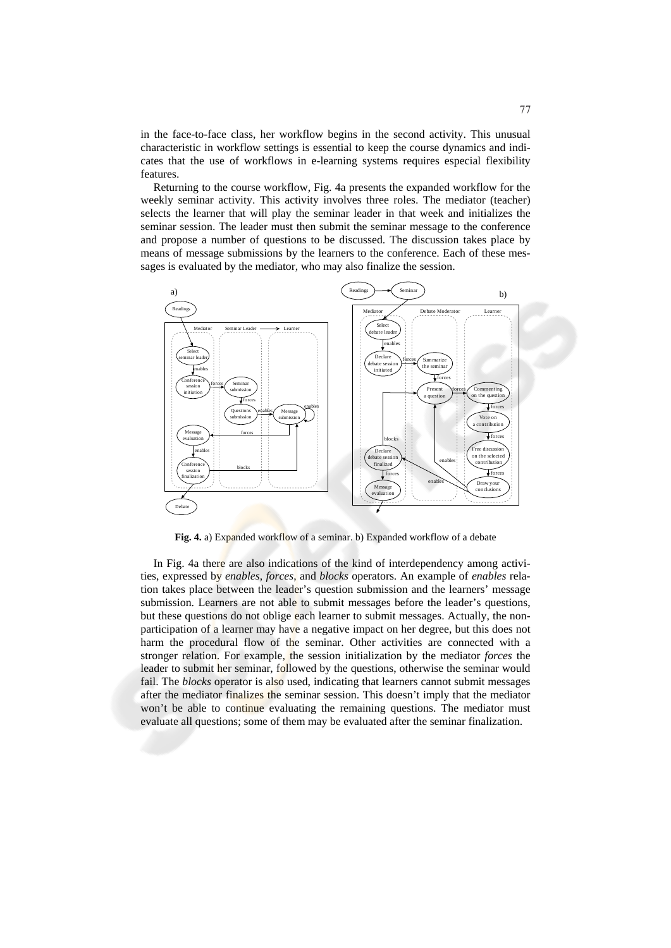in the face-to-face class, her workflow begins in the second activity. This unusual characteristic in workflow settings is essential to keep the course dynamics and indicates that the use of workflows in e-learning systems requires especial flexibility features.

Returning to the course workflow, Fig. 4a presents the expanded workflow for the weekly seminar activity. This activity involves three roles. The mediator (teacher) selects the learner that will play the seminar leader in that week and initializes the seminar session. The leader must then submit the seminar message to the conference and propose a number of questions to be discussed. The discussion takes place by means of message submissions by the learners to the conference. Each of these messages is evaluated by the mediator, who may also finalize the session.



**Fig. 4.** a) Expanded workflow of a seminar. b) Expanded workflow of a debate

In Fig. 4a there are also indications of the kind of interdependency among activities, expressed by *enables*, *forces*, and *blocks* operators. An example of *enables* relation takes place between the leader's question submission and the learners' message submission. Learners are not able to submit messages before the leader's questions, but these questions do not oblige each learner to submit messages. Actually, the nonparticipation of a learner may have a negative impact on her degree, but this does not harm the procedural flow of the seminar. Other activities are connected with a stronger relation. For example, the session initialization by the mediator *forces* the leader to submit her seminar, followed by the questions, otherwise the seminar would fail. The *blocks* operator is also used, indicating that learners cannot submit messages after the mediator finalizes the seminar session. This doesn't imply that the mediator won't be able to continue evaluating the remaining questions. The mediator must evaluate all questions; some of them may be evaluated after the seminar finalization.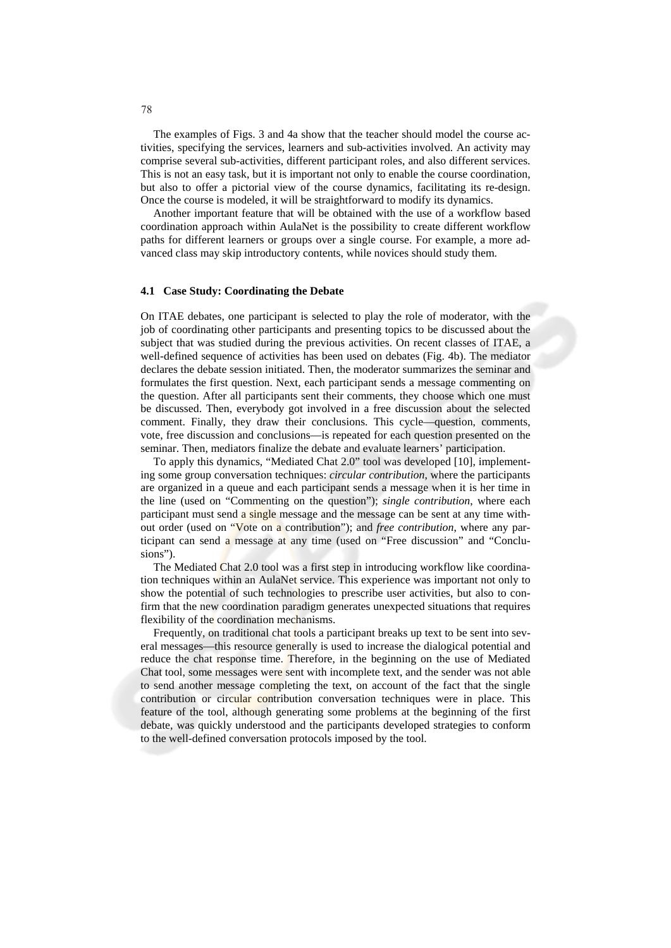The examples of Figs. 3 and 4a show that the teacher should model the course activities, specifying the services, learners and sub-activities involved. An activity may comprise several sub-activities, different participant roles, and also different services. This is not an easy task, but it is important not only to enable the course coordination, but also to offer a pictorial view of the course dynamics, facilitating its re-design. Once the course is modeled, it will be straightforward to modify its dynamics.

Another important feature that will be obtained with the use of a workflow based coordination approach within AulaNet is the possibility to create different workflow paths for different learners or groups over a single course. For example, a more advanced class may skip introductory contents, while novices should study them.

## **4.1 Case Study: Coordinating the Debate**

On ITAE debates, one participant is selected to play the role of moderator, with the job of coordinating other participants and presenting topics to be discussed about the subject that was studied during the previous activities. On recent classes of ITAE, a well-defined sequence of activities has been used on debates (Fig. 4b). The mediator declares the debate session initiated. Then, the moderator summarizes the seminar and formulates the first question. Next, each participant sends a message commenting on the question. After all participants sent their comments, they choose which one must be discussed. Then, everybody got involved in a free discussion about the selected comment. Finally, they draw their conclusions. This cycle—question, comments, vote, free discussion and conclusions—is repeated for each question presented on the seminar. Then, mediators finalize the debate and evaluate learners' participation.

To apply this dynamics, "Mediated Chat 2.0" tool was developed [10], implementing some group conversation techniques: *circular contribution*, where the participants are organized in a queue and each participant sends a message when it is her time in the line (used on "Commenting on the question"); *single contribution*, where each participant must send a single message and the message can be sent at any time without order (used on "Vote on a contribution"); and *free contribution*, where any participant can send a message at any time (used on "Free discussion" and "Conclusions").

The Mediated Chat 2.0 tool was a first step in introducing workflow like coordination techniques within an AulaNet service. This experience was important not only to show the potential of such technologies to prescribe user activities, but also to confirm that the new coordination paradigm generates unexpected situations that requires flexibility of the coordination mechanisms.

Frequently, on traditional chat tools a participant breaks up text to be sent into several messages—this resource generally is used to increase the dialogical potential and reduce the chat response time. Therefore, in the beginning on the use of Mediated Chat tool, some messages were sent with incomplete text, and the sender was not able to send another message completing the text, on account of the fact that the single contribution or circular contribution conversation techniques were in place. This feature of the tool, although generating some problems at the beginning of the first debate, was quickly understood and the participants developed strategies to conform to the well-defined conversation protocols imposed by the tool.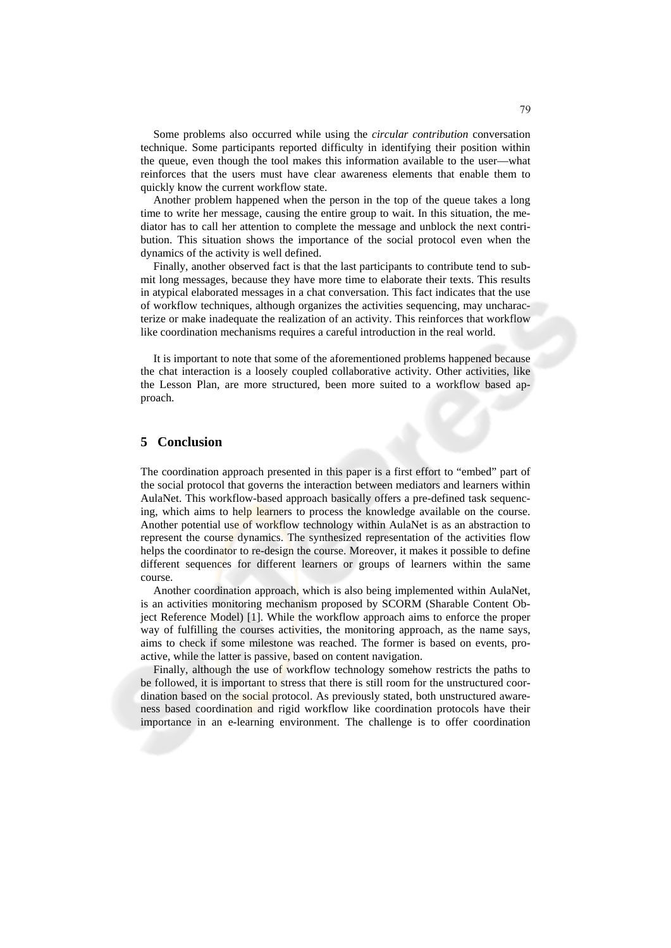Some problems also occurred while using the *circular contribution* conversation technique. Some participants reported difficulty in identifying their position within the queue, even though the tool makes this information available to the user—what reinforces that the users must have clear awareness elements that enable them to quickly know the current workflow state.

Another problem happened when the person in the top of the queue takes a long time to write her message, causing the entire group to wait. In this situation, the mediator has to call her attention to complete the message and unblock the next contribution. This situation shows the importance of the social protocol even when the dynamics of the activity is well defined.

Finally, another observed fact is that the last participants to contribute tend to submit long messages, because they have more time to elaborate their texts. This results in atypical elaborated messages in a chat conversation. This fact indicates that the use of workflow techniques, although organizes the activities sequencing, may uncharacterize or make inadequate the realization of an activity. This reinforces that workflow like coordination mechanisms requires a careful introduction in the real world.

It is important to note that some of the aforementioned problems happened because the chat interaction is a loosely coupled collaborative activity. Other activities, like the Lesson Plan, are more structured, been more suited to a workflow based approach.

# **5 Conclusion**

The coordination approach presented in this paper is a first effort to "embed" part of the social protocol that governs the interaction between mediators and learners within AulaNet. This workflow-based approach basically offers a pre-defined task sequencing, which aims to help learners to process the knowledge available on the course. Another potential use of workflow technology within AulaNet is as an abstraction to represent the course dynamics. The synthesized representation of the activities flow helps the coordinator to re-design the course. Moreover, it makes it possible to define different sequences for different learners or groups of learners within the same course.

Another coordination approach, which is also being implemented within AulaNet, is an activities monitoring mechanism proposed by SCORM (Sharable Content Object Reference Model) [1]. While the workflow approach aims to enforce the proper way of fulfilling the courses activities, the monitoring approach, as the name says, aims to check if some milestone was reached. The former is based on events, proactive, while the latter is passive, based on content navigation.

Finally, although the use of workflow technology somehow restricts the paths to be followed, it is important to stress that there is still room for the unstructured coordination based on the social protocol. As previously stated, both unstructured awareness based coordination and rigid workflow like coordination protocols have their importance in an e-learning environment. The challenge is to offer coordination